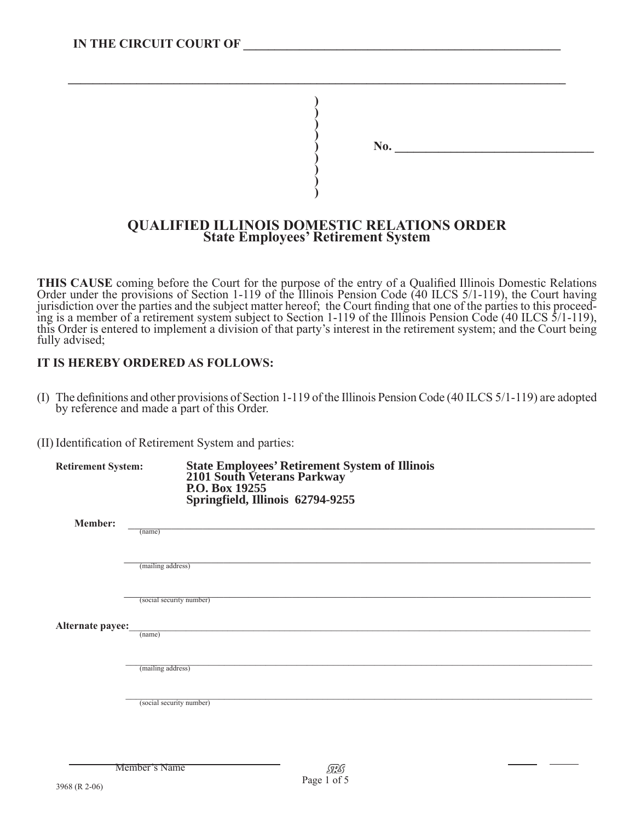| No. |  |  |
|-----|--|--|
|     |  |  |
|     |  |  |

## **QUALIFIED ILLINOIS DOMESTIC RELATIONS ORDER State Employees' Retirement System**

**\_\_\_\_\_\_\_\_\_\_\_\_\_\_\_\_\_\_\_\_\_\_\_\_\_\_\_\_\_\_\_\_\_\_\_\_\_\_\_\_\_\_\_\_\_\_\_\_\_\_\_\_\_\_\_\_\_\_\_\_\_\_\_\_\_\_\_\_\_\_\_\_\_\_\_\_\_\_\_\_**

**)**

**THIS CAUSE** coming before the Court for the purpose of the entry of a Qualified Illinois Domestic Relations Order under the provisions of Section 1-119 of the Illinois Pension Code (40 ILCS 5/1-119), the Court having jurisdiction over the parties and the subject matter hereof; the Court finding that one of the parties to this proceed-<br>ing is a member of a retirement system subject to Section 1-119 of the Illinois Pension Code (40 ILCS this Order is entered to implement a division of that party's interest in the retirement system; and the Court being fully advised;

## **IT IS HEREBY ORDERED AS FOLLOWS:**

- (I) The definitions and other provisions of Section 1-119 of the Illinois Pension Code (40 ILCS 5/1-119) are adopted by reference and made a part of this Order.
- (II) Identification of Retirement System and parties:

| <b>Retirement System:</b> | State Employees' Retirement System of Illinois<br>2101 South Veterans Parkway<br>P.O. Box 19255<br>Springfield, Illinois 62794-9255 |
|---------------------------|-------------------------------------------------------------------------------------------------------------------------------------|
| <b>Member:</b>            | (name)                                                                                                                              |
|                           |                                                                                                                                     |
|                           | (mailing address)                                                                                                                   |
|                           | (social security number)                                                                                                            |
| Alternate payee:          | (name)                                                                                                                              |
|                           | (mailing address)                                                                                                                   |
|                           | (social security number)                                                                                                            |
|                           |                                                                                                                                     |
|                           |                                                                                                                                     |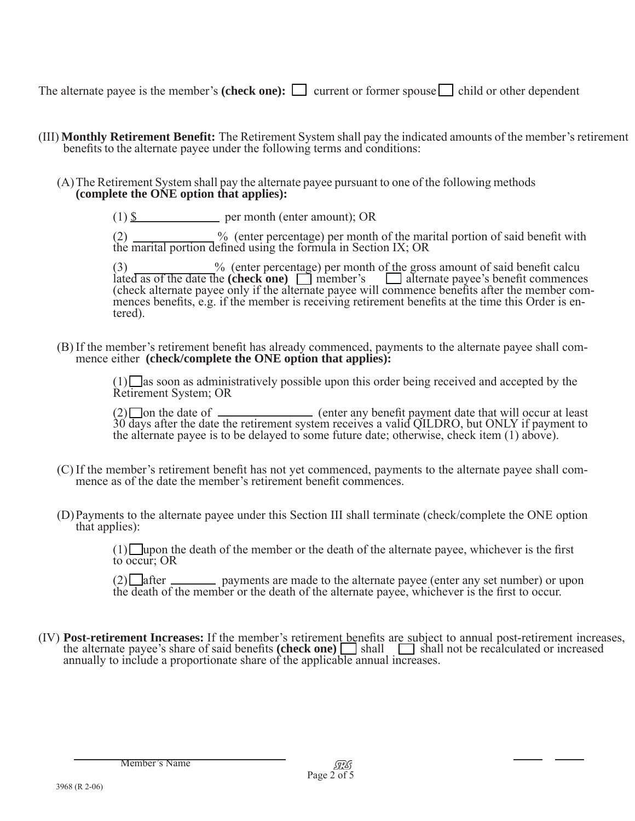The alternate payee is the member's **(check one):**  $\Box$  current or former spouse  $\Box$  child or other dependent

- (III) **Monthly Retirement Benefit:** The Retirement System shall pay the indicated amounts of the member's retirement benefits to the alternate payee under the following terms and conditions:
	- (A)The Retirement System shall pay the alternate payee pursuant to one of the following methods **(complete the ONE option that applies):**
		- $(1)$  \$ per month (enter amount); OR

 $(2)$   $\frac{1}{2}$  % (enter percentage) per month of the marital portion of said benefit with the marital portion defined using the formula in Section IX; OR

(3) % (enter percentage) per month of the gross amount of said benefit calcu ated as of the date the **(check one)** member's alternate payee's benefit commences (check alternate payee only if the alternate payee will commence benefits after the member commences benefits, e.g. if the member is receiving retirement benefits at the time this Order is entered).

(B) If the member's retirement benefit has already commenced, payments to the alternate payee shall com- mence either **(check/complete the ONE option that applies):**

 $(1)$  as soon as administratively possible upon this order being received and accepted by the Retirement System; OR

(2)  $\Box$  on the date of  $\Box$  (enter any benefit payment date that will occur at least 30 days after the date the retirement system receives a valid QILDRO, but ONLY if payment to the alternate payee is to be delayed to so

- (C) If the member's retirement benefit has not yet commenced, payments to the alternate payee shall com- mence as of the date the member's retirement benefit commences.
- (D)Payments to the alternate payee under this Section III shall terminate (check/complete the ONE option that applies):

 $(1)$  upon the death of the member or the death of the alternate payee, whichever is the first to occur: OR

 $(2)$  after <u>equal</u> payments are made to the alternate payee (enter any set number) or upon the death of the member or the death of the alternate payee, whichever is the first to occur.

(IV) **Post-retirement Increases:** If the member's retirement benefits are subject to annual post-retirement increases, the alternate payee's share of said benefits (check one)  $\Box$  shall  $\Box$  shall not be recalculated or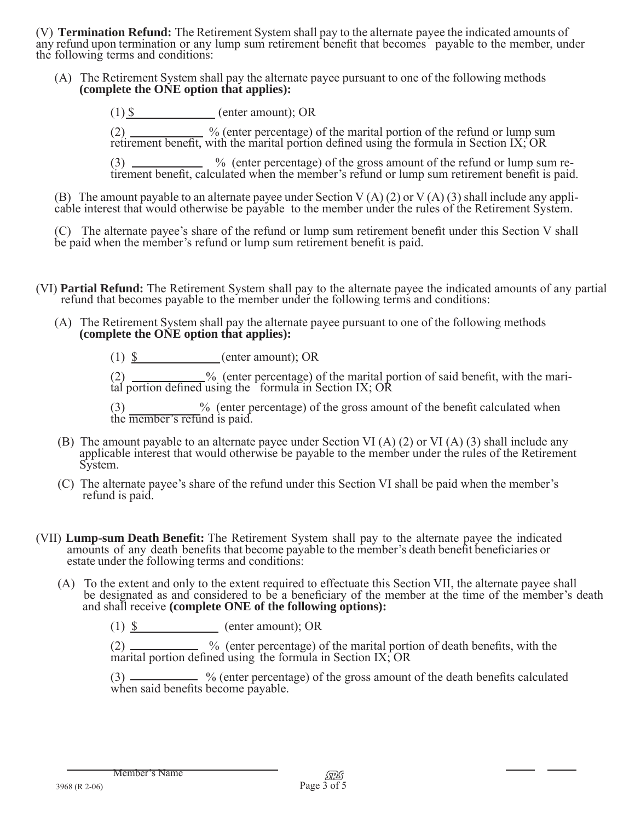(V) **Termination Refund:** The Retirement System shall pay to the alternate payee the indicated amounts of any refund upon termination or any lump sum retirement benefit that becomes payable to the member, under the followi

(A) The Retirement System shall pay the alternate payee pursuant to one of the following methods **(complete the ONE option that applies):**

 $(1)$  \$ (enter amount); OR

 $(2)$  \_\_\_\_\_\_\_\_\_\_\_\_\_ % (enter percentage) of the marital portion of the refund or lump sum retirement benefit, with the marital portion defined using the formula in Section IX; OR

 $(3)$  \_\_\_\_\_\_\_\_\_\_\_\_\_\_\_ % (enter percentage) of the gross amount of the refund or lump sum retirement benefit, calculated when the member's refund or lump sum retirement benefit is paid.

(B) The amount payable to an alternate payee under Section V (A) (2) or V (A) (3) shall include any appli-cable interest that would otherwise be payable to the member under the rules of the Retirement System.

(C) The alternate payee's share of the refund or lump sum retirement benefit under this Section V shall be paid when the member's refund or lump sum retirement benefit is paid.

- (VI) **Partial Refund:** The Retirement System shall pay to the alternate payee the indicated amounts of any partial refund that becomes payable to the member under the following terms and conditions:
	- (A) The Retirement System shall pay the alternate payee pursuant to one of the following methods **(complete the ONE option that applies):**

(1) \$ (enter amount); or

 $(2)$   $\_\_\_\_\_\_\_\_\_\_\_\_\_\$ <sup>%</sup> (enter percentage) of the marital portion of said benefit, with the marital portion defined using the formula in Section IX;  $C$ 

 $(3)$   $\frac{1}{2}$  (enter percentage) of the gross amount of the benefit calculated when the member's refund is paid.

- (B) The amount payable to an alternate payee under Section VI (A) (2) or VI (A) (3) shall include any applicable interest that would otherwise be payable to the member under the rules of the Retirement System.
- (C) The alternate payee's share of the refund under this Section VI shall be paid when the member's refund is paid.
- (VII) **Lump-sum Death Benefit:** The Retirement System shall pay to the alternate payee the indicated amounts of any death benefits that become payable to the member's death benefit beneficiaries or estate under the followi
	- (A) To the extent and only to the extent required to effectuate this Section VII, the alternate payee shall be designated as and considered to be a beneficiary of the member at the time of the member's death and shall receive **(complete ONE of the following options):**

 $(1)$   $\underline{\$}$  (enter amount); OR

 $(2)$   $\frac{1}{2}$  % (enter percentage) of the marital portion of death benefits, with the marital portion defined using the formula in Section IX; OR

 $\sim$  % (enter percentage) of the gross amount of the death benefits calculated when said benefits become payable.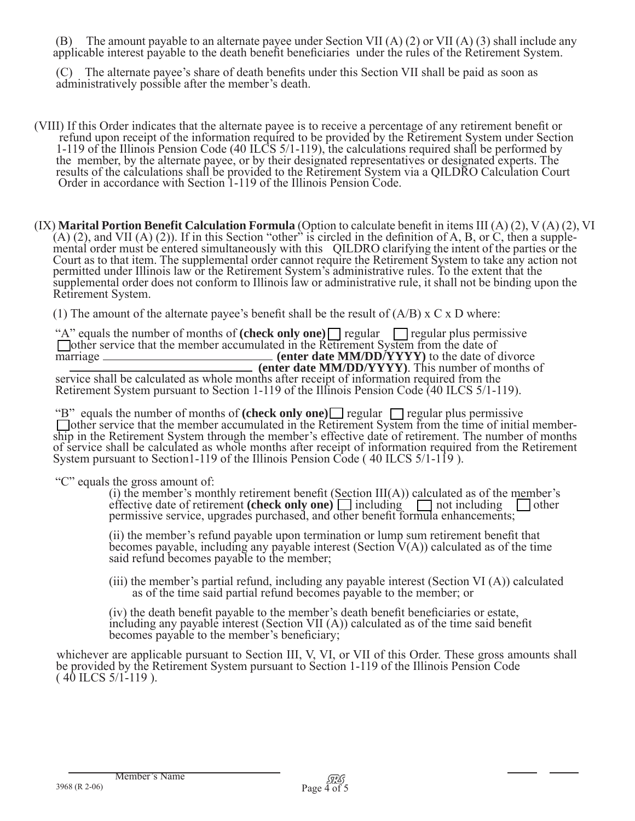(B) The amount payable to an alternate payee under Section VII (A) (2) or VII (A) (3) shall include any applicable interest payable to the death benefit beneficiaries under the rules of the Retirement System.

 (C) The alternate payee's share of death benefits under this Section VII shall be paid as soon as administratively possible after the member's death.

- (VIII) If this Order indicates that the alternate payee is to receive a percentage of any retirement benefit or refund upon receipt of the information required to be provided by the Retirement System under Section 1-119 of the Illinois Pension Code (40 ILCS 5/1-119), the calculations required shall be performed by the member, by the alternate payee, or by their designated representatives or designated experts. The results of the calculations shall be provided to the Retirement System via a QILDRO Calculation Court Order in accordance with Section 1-119 of the Illinois Pension Code.
- (IX) **Marital Portion Benefit Calculation Formula** (Option to calculate benefit in items III (A) (2), V (A) (2), VI (A) (2), and VII (A) (2)). If in this Section "other" is circled in the definition of A, B, or C, then a permitted under Illinois law or the Retirement System's administrative rules. To the extent that the supplemental order does not conform to Illinois law or administrative rule, it shall not be binding upon the Retirement System.

(1) The amount of the alternate payee's benefit shall be the result of  $(A/B) \times C \times D$  where:

"A" equals the number of months of **(check only one)** regular gregular regular plus permissive other service that the member accumulated in the Retirement System from the date of marriage \_\_\_\_\_\_\_\_\_\_\_\_\_\_\_\_\_\_\_\_\_\_\_\_\_\_\_\_\_\_\_\_ (enter date MM/DD/YYYY) to the date of divorce **(enter date MM/DD/YYYY)**. This number of months of service shall be calculated as whole months after receipt of information required from the Retirement System pursuant to Section 1-119 of the Illinois Pension Code (40 ILCS 5/1-119).

"B" equals the number of months of (check only one)  $\Box$  regular  $\Box$  regular plus permissive  $\Box$  other service that the member accumulated in the Retirement System from the time of initial membership in the Retirement S of service shall be calculated as whole months after receipt of information required from the Retirement System pursuant to Section1-119 of the Illinois Pension Code ( 40 ILCS 5/1-119 ).

"C" equals the gross amount of:<br>(i) the member's monthly retirement benefit (Section III(A)) calculated as of the member's effective date of retirement **(check only one)**  $\Box$  including  $\Box$  not including  $\Box$  other permissive service, upgrades purchased, and other benefit formula enhancements;

> (ii) the member's refund payable upon termination or lump sum retirement benefit that becomes payable, including any payable interest (Section  $V(A)$ ) calculated as of the time said refund becomes payable to the member;

(iii) the member's partial refund, including any payable interest (Section VI (A)) calculated as of the time said partial refund becomes payable to the member; or

(iv) the death benefit payable to the member's death benefit beneficiaries or estate, including any payable interest (Section VII (A)) calculated as of the time said benefit becomes payable to the member's beneficiary;

 whichever are applicable pursuant to Section III, V, VI, or VII of this Order. These gross amounts shall be provided by the Retirement System pursuant to Section 1-119 of the Illinois Pension Code  $(40$  ILCS  $5/1-119$ ).